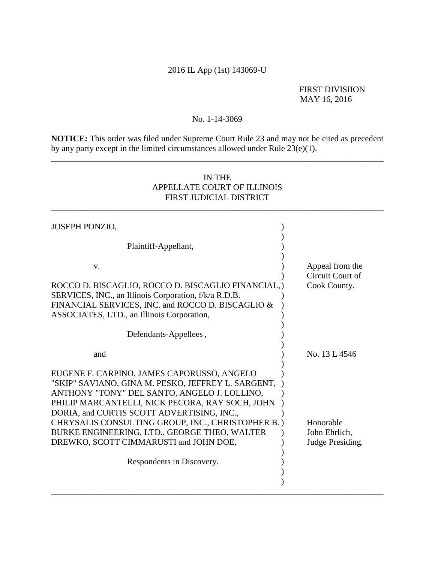# 2016 IL App (1st) 143069-U

## FIRST DIVISIION MAY 16, 2016

## No. 1-14-3069

**NOTICE:** This order was filed under Supreme Court Rule 23 and may not be cited as precedent by any party except in the limited circumstances allowed under Rule  $23(e)(1)$ .

\_\_\_\_\_\_\_\_\_\_\_\_\_\_\_\_\_\_\_\_\_\_\_\_\_\_\_\_\_\_\_\_\_\_\_\_\_\_\_\_\_\_\_\_\_\_\_\_\_\_\_\_\_\_\_\_\_\_\_\_\_\_\_\_\_\_\_\_\_\_\_\_\_\_\_\_\_\_

# IN THE APPELLATE COURT OF ILLINOIS FIRST JUDICIAL DISTRICT

\_\_\_\_\_\_\_\_\_\_\_\_\_\_\_\_\_\_\_\_\_\_\_\_\_\_\_\_\_\_\_\_\_\_\_\_\_\_\_\_\_\_\_\_\_\_\_\_\_\_\_\_\_\_\_\_\_\_\_\_\_\_\_\_\_\_\_\_\_\_\_\_\_\_\_\_\_\_

| <b>JOSEPH PONZIO,</b>                                                                                                                                                                                                                                                                                                                                                                                                         |                                                     |
|-------------------------------------------------------------------------------------------------------------------------------------------------------------------------------------------------------------------------------------------------------------------------------------------------------------------------------------------------------------------------------------------------------------------------------|-----------------------------------------------------|
| Plaintiff-Appellant,                                                                                                                                                                                                                                                                                                                                                                                                          |                                                     |
| v.<br>ROCCO D. BISCAGLIO, ROCCO D. BISCAGLIO FINANCIAL,<br>SERVICES, INC., an Illinois Corporation, f/k/a R.D.B.<br>FINANCIAL SERVICES, INC. and ROCCO D. BISCAGLIO &<br>ASSOCIATES, LTD., an Illinois Corporation,                                                                                                                                                                                                           | Appeal from the<br>Circuit Court of<br>Cook County. |
| Defendants-Appellees,                                                                                                                                                                                                                                                                                                                                                                                                         |                                                     |
| and                                                                                                                                                                                                                                                                                                                                                                                                                           | No. 13 L 4546                                       |
| EUGENE F. CARPINO, JAMES CAPORUSSO, ANGELO<br>"SKIP" SAVIANO, GINA M. PESKO, JEFFREY L. SARGENT,<br>ANTHONY "TONY" DEL SANTO, ANGELO J. LOLLINO,<br>PHILIP MARCANTELLI, NICK PECORA, RAY SOCH, JOHN<br>DORIA, and CURTIS SCOTT ADVERTISING, INC.,<br>CHRYSALIS CONSULTING GROUP, INC., CHRISTOPHER B.)<br>BURKE ENGINEERING, LTD., GEORGE THEO, WALTER<br>DREWKO, SCOTT CIMMARUSTI and JOHN DOE,<br>Respondents in Discovery. | Honorable<br>John Ehrlich,<br>Judge Presiding.      |
|                                                                                                                                                                                                                                                                                                                                                                                                                               |                                                     |
|                                                                                                                                                                                                                                                                                                                                                                                                                               |                                                     |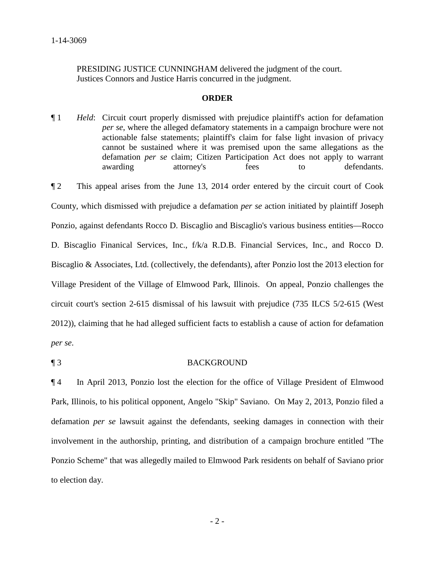PRESIDING JUSTICE CUNNINGHAM delivered the judgment of the court. Justices Connors and Justice Harris concurred in the judgment.

### **ORDER**

- ¶ 1 *Held*: Circuit court properly dismissed with prejudice plaintiff's action for defamation *per se*, where the alleged defamatory statements in a campaign brochure were not actionable false statements; plaintiff's claim for false light invasion of privacy cannot be sustained where it was premised upon the same allegations as the defamation *per se* claim; Citizen Participation Act does not apply to warrant awarding attorney's fees to defendants.
- ¶ 2 This appeal arises from the June 13, 2014 order entered by the circuit court of Cook County, which dismissed with prejudice a defamation *per se* action initiated by plaintiff Joseph Ponzio, against defendants Rocco D. Biscaglio and Biscaglio's various business entities—Rocco D. Biscaglio Finanical Services, Inc., f/k/a R.D.B. Financial Services, Inc., and Rocco D. Biscaglio & Associates, Ltd. (collectively, the defendants), after Ponzio lost the 2013 election for Village President of the Village of Elmwood Park, Illinois. On appeal, Ponzio challenges the circuit court's section 2-615 dismissal of his lawsuit with prejudice (735 ILCS 5/2-615 (West 2012)), claiming that he had alleged sufficient facts to establish a cause of action for defamation *per se*.

### ¶ 3 BACKGROUND

¶ 4 In April 2013, Ponzio lost the election for the office of Village President of Elmwood Park, Illinois, to his political opponent, Angelo "Skip" Saviano. On May 2, 2013, Ponzio filed a defamation *per se* lawsuit against the defendants, seeking damages in connection with their involvement in the authorship, printing, and distribution of a campaign brochure entitled "The Ponzio Scheme" that was allegedly mailed to Elmwood Park residents on behalf of Saviano prior to election day.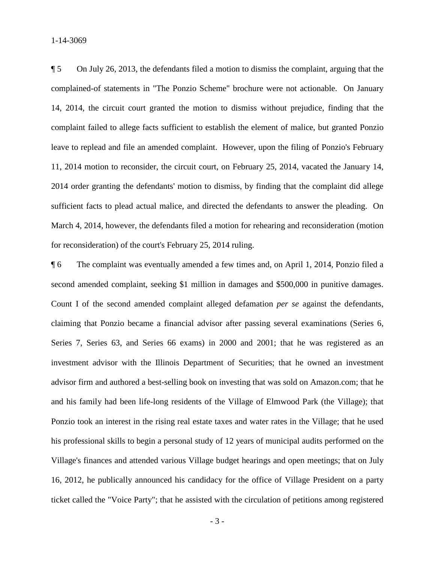1-14-3069

¶ 5 On July 26, 2013, the defendants filed a motion to dismiss the complaint, arguing that the complained-of statements in "The Ponzio Scheme" brochure were not actionable. On January 14, 2014, the circuit court granted the motion to dismiss without prejudice, finding that the complaint failed to allege facts sufficient to establish the element of malice, but granted Ponzio leave to replead and file an amended complaint. However, upon the filing of Ponzio's February 11, 2014 motion to reconsider, the circuit court, on February 25, 2014, vacated the January 14, 2014 order granting the defendants' motion to dismiss, by finding that the complaint did allege sufficient facts to plead actual malice, and directed the defendants to answer the pleading. On March 4, 2014, however, the defendants filed a motion for rehearing and reconsideration (motion for reconsideration) of the court's February 25, 2014 ruling.

¶ 6 The complaint was eventually amended a few times and, on April 1, 2014, Ponzio filed a second amended complaint, seeking \$1 million in damages and \$500,000 in punitive damages. Count I of the second amended complaint alleged defamation *per se* against the defendants, claiming that Ponzio became a financial advisor after passing several examinations (Series 6, Series 7, Series 63, and Series 66 exams) in 2000 and 2001; that he was registered as an investment advisor with the Illinois Department of Securities; that he owned an investment advisor firm and authored a best-selling book on investing that was sold on Amazon.com; that he and his family had been life-long residents of the Village of Elmwood Park (the Village); that Ponzio took an interest in the rising real estate taxes and water rates in the Village; that he used his professional skills to begin a personal study of 12 years of municipal audits performed on the Village's finances and attended various Village budget hearings and open meetings; that on July 16, 2012, he publically announced his candidacy for the office of Village President on a party ticket called the "Voice Party"; that he assisted with the circulation of petitions among registered

- 3 -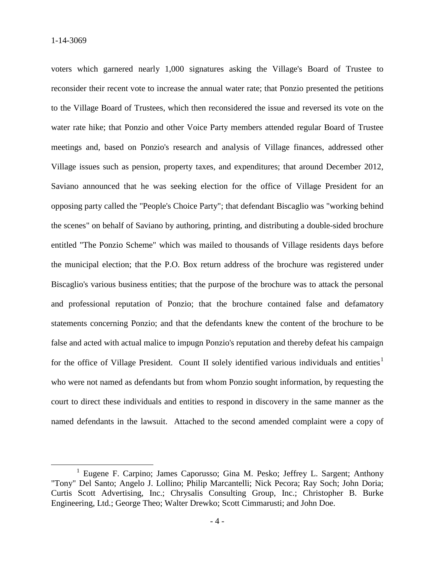voters which garnered nearly 1,000 signatures asking the Village's Board of Trustee to reconsider their recent vote to increase the annual water rate; that Ponzio presented the petitions to the Village Board of Trustees, which then reconsidered the issue and reversed its vote on the water rate hike; that Ponzio and other Voice Party members attended regular Board of Trustee meetings and, based on Ponzio's research and analysis of Village finances, addressed other Village issues such as pension, property taxes, and expenditures; that around December 2012, Saviano announced that he was seeking election for the office of Village President for an opposing party called the "People's Choice Party"; that defendant Biscaglio was "working behind the scenes" on behalf of Saviano by authoring, printing, and distributing a double-sided brochure entitled "The Ponzio Scheme" which was mailed to thousands of Village residents days before the municipal election; that the P.O. Box return address of the brochure was registered under Biscaglio's various business entities; that the purpose of the brochure was to attack the personal and professional reputation of Ponzio; that the brochure contained false and defamatory statements concerning Ponzio; and that the defendants knew the content of the brochure to be false and acted with actual malice to impugn Ponzio's reputation and thereby defeat his campaign for the office of Village President. Count II solely identified various individuals and entities<sup>1</sup> who were not named as defendants but from whom Ponzio sought information, by requesting the court to direct these individuals and entities to respond in discovery in the same manner as the named defendants in the lawsuit. Attached to the second amended complaint were a copy of

<sup>&</sup>lt;sup>1</sup> Eugene F. Carpino; James Caporusso; Gina M. Pesko; Jeffrey L. Sargent; Anthony "Tony" Del Santo; Angelo J. Lollino; Philip Marcantelli; Nick Pecora; Ray Soch; John Doria; Curtis Scott Advertising, Inc.; Chrysalis Consulting Group, Inc.; Christopher B. Burke Engineering, Ltd.; George Theo; Walter Drewko; Scott Cimmarusti; and John Doe.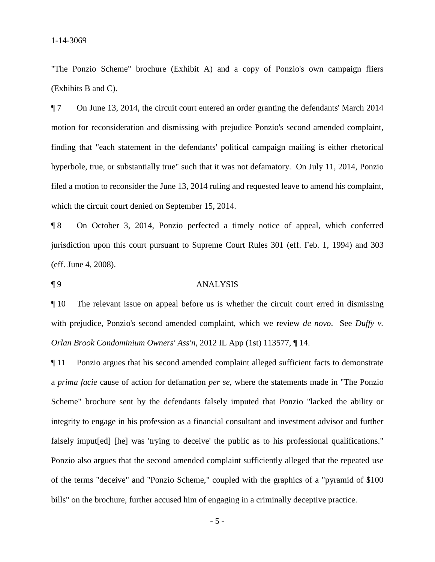"The Ponzio Scheme" brochure (Exhibit A) and a copy of Ponzio's own campaign fliers (Exhibits B and C).

¶ 7 On June 13, 2014, the circuit court entered an order granting the defendants' March 2014 motion for reconsideration and dismissing with prejudice Ponzio's second amended complaint, finding that "each statement in the defendants' political campaign mailing is either rhetorical hyperbole, true, or substantially true" such that it was not defamatory. On July 11, 2014, Ponzio filed a motion to reconsider the June 13, 2014 ruling and requested leave to amend his complaint, which the circuit court denied on September 15, 2014.

¶ 8 On October 3, 2014, Ponzio perfected a timely notice of appeal, which conferred jurisdiction upon this court pursuant to Supreme Court Rules 301 (eff. Feb. 1, 1994) and 303 (eff. June 4, 2008).

#### ¶ 9 ANALYSIS

¶ 10 The relevant issue on appeal before us is whether the circuit court erred in dismissing with prejudice, Ponzio's second amended complaint, which we review *de novo*. See *Duffy v. Orlan Brook Condominium Owners' Ass'n*, 2012 IL App (1st) 113577, ¶ 14.

¶ 11 Ponzio argues that his second amended complaint alleged sufficient facts to demonstrate a *prima facie* cause of action for defamation *per se*, where the statements made in "The Ponzio Scheme" brochure sent by the defendants falsely imputed that Ponzio "lacked the ability or integrity to engage in his profession as a financial consultant and investment advisor and further falsely imput[ed] [he] was 'trying to deceive' the public as to his professional qualifications." Ponzio also argues that the second amended complaint sufficiently alleged that the repeated use of the terms "deceive" and "Ponzio Scheme," coupled with the graphics of a "pyramid of \$100 bills" on the brochure, further accused him of engaging in a criminally deceptive practice.

- 5 -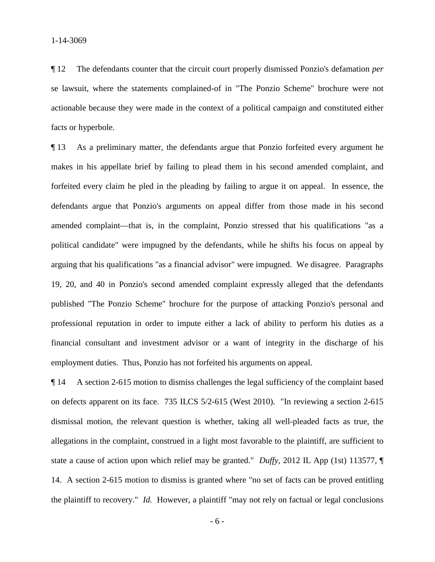¶ 12 The defendants counter that the circuit court properly dismissed Ponzio's defamation *per*  se lawsuit, where the statements complained-of in "The Ponzio Scheme" brochure were not actionable because they were made in the context of a political campaign and constituted either facts or hyperbole.

¶ 13 As a preliminary matter, the defendants argue that Ponzio forfeited every argument he makes in his appellate brief by failing to plead them in his second amended complaint, and forfeited every claim he pled in the pleading by failing to argue it on appeal. In essence, the defendants argue that Ponzio's arguments on appeal differ from those made in his second amended complaint—that is, in the complaint, Ponzio stressed that his qualifications "as a political candidate" were impugned by the defendants, while he shifts his focus on appeal by arguing that his qualifications "as a financial advisor" were impugned. We disagree. Paragraphs 19, 20, and 40 in Ponzio's second amended complaint expressly alleged that the defendants published "The Ponzio Scheme" brochure for the purpose of attacking Ponzio's personal and professional reputation in order to impute either a lack of ability to perform his duties as a financial consultant and investment advisor or a want of integrity in the discharge of his employment duties. Thus, Ponzio has not forfeited his arguments on appeal.

¶ 14 A section 2-615 motion to dismiss challenges the legal sufficiency of the complaint based on defects apparent on its face. 735 ILCS 5/2-615 (West 2010). "In reviewing a section 2-615 dismissal motion, the relevant question is whether, taking all well-pleaded facts as true, the allegations in the complaint, construed in a light most favorable to the plaintiff, are sufficient to state a cause of action upon which relief may be granted." *Duffy*, 2012 IL App (1st) 113577, ¶ 14. A section 2-615 motion to dismiss is granted where "no set of facts can be proved entitling the plaintiff to recovery." *Id.* However, a plaintiff "may not rely on factual or legal conclusions

- 6 -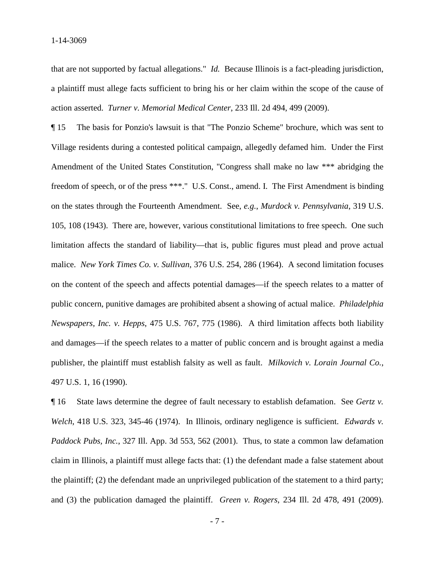that are not supported by factual allegations." *Id.* Because Illinois is a fact-pleading jurisdiction, a plaintiff must allege facts sufficient to bring his or her claim within the scope of the cause of action asserted. *Turner v. Memorial Medical Center*, 233 Ill. 2d 494, 499 (2009).

¶ 15 The basis for Ponzio's lawsuit is that "The Ponzio Scheme" brochure, which was sent to Village residents during a contested political campaign, allegedly defamed him. Under the First Amendment of the United States Constitution, "Congress shall make no law \*\*\* abridging the freedom of speech, or of the press \*\*\*." U.S. Const., amend. I. The First Amendment is binding on the states through the Fourteenth Amendment. See, *e.g.*, *Murdock v. Pennsylvania*, 319 U.S. 105, 108 (1943). There are, however, various constitutional limitations to free speech. One such limitation affects the standard of liability—that is, public figures must plead and prove actual malice. *New York Times Co. v. Sullivan*, 376 U.S. 254, 286 (1964). A second limitation focuses on the content of the speech and affects potential damages—if the speech relates to a matter of public concern, punitive damages are prohibited absent a showing of actual malice. *Philadelphia Newspapers, Inc. v. Hepps*, 475 U.S. 767, 775 (1986). A third limitation affects both liability and damages—if the speech relates to a matter of public concern and is brought against a media publisher, the plaintiff must establish falsity as well as fault. *Milkovich v. Lorain Journal Co.*, 497 U.S. 1, 16 (1990).

¶ 16 State laws determine the degree of fault necessary to establish defamation. See *Gertz v. Welch*, 418 U.S. 323, 345-46 (1974). In Illinois, ordinary negligence is sufficient. *Edwards v. Paddock Pubs, Inc.*, 327 Ill. App. 3d 553, 562 (2001). Thus, to state a common law defamation claim in Illinois, a plaintiff must allege facts that: (1) the defendant made a false statement about the plaintiff; (2) the defendant made an unprivileged publication of the statement to a third party; and (3) the publication damaged the plaintiff. *Green v. Rogers*, 234 Ill. 2d 478, 491 (2009).

- 7 -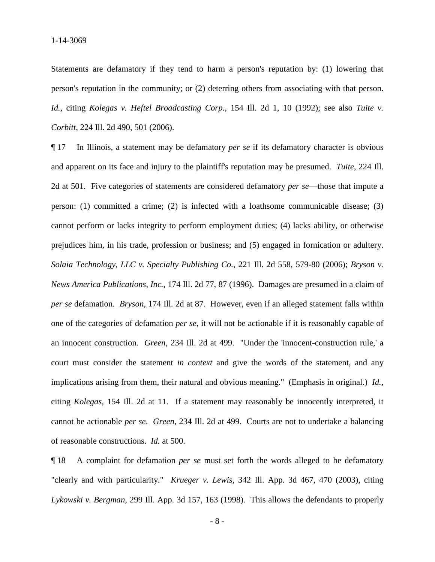Statements are defamatory if they tend to harm a person's reputation by: (1) lowering that person's reputation in the community; or (2) deterring others from associating with that person. *Id.*, citing *Kolegas v. Heftel Broadcasting Corp.*, 154 Ill. 2d 1, 10 (1992); see also *Tuite v. Corbitt*, 224 Ill. 2d 490, 501 (2006).

¶ 17 In Illinois, a statement may be defamatory *per se* if its defamatory character is obvious and apparent on its face and injury to the plaintiff's reputation may be presumed. *Tuite*, 224 Ill. 2d at 501. Five categories of statements are considered defamatory *per se*—those that impute a person: (1) committed a crime; (2) is infected with a loathsome communicable disease; (3) cannot perform or lacks integrity to perform employment duties; (4) lacks ability, or otherwise prejudices him, in his trade, profession or business; and (5) engaged in fornication or adultery. *Solaia Technology, LLC v. Specialty Publishing Co.*, 221 Ill. 2d 558, 579-80 (2006); *Bryson v. News America Publications, Inc.*, 174 Ill. 2d 77, 87 (1996). Damages are presumed in a claim of *per se* defamation. *Bryson*, 174 Ill. 2d at 87. However, even if an alleged statement falls within one of the categories of defamation *per se*, it will not be actionable if it is reasonably capable of an innocent construction. *Green*, 234 Ill. 2d at 499. "Under the 'innocent-construction rule,' a court must consider the statement *in context* and give the words of the statement, and any implications arising from them, their natural and obvious meaning." (Emphasis in original.) *Id.*, citing *Kolegas*, 154 Ill. 2d at 11. If a statement may reasonably be innocently interpreted, it cannot be actionable *per se*. *Green*, 234 Ill. 2d at 499. Courts are not to undertake a balancing of reasonable constructions. *Id.* at 500.

¶ 18 A complaint for defamation *per se* must set forth the words alleged to be defamatory "clearly and with particularity." *Krueger v. Lewis*, 342 Ill. App. 3d 467, 470 (2003), citing *Lykowski v. Bergman*, 299 Ill. App. 3d 157, 163 (1998). This allows the defendants to properly

- 8 -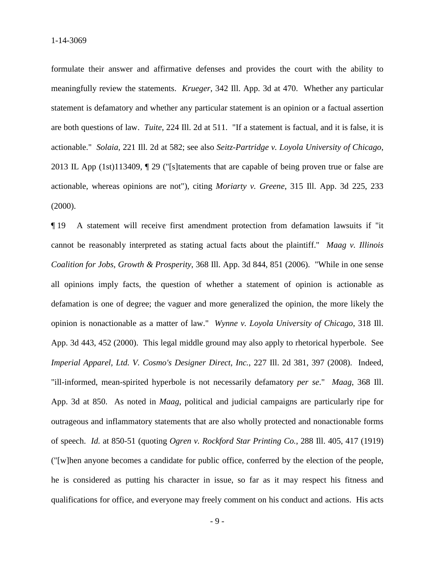formulate their answer and affirmative defenses and provides the court with the ability to meaningfully review the statements. *Krueger*, 342 Ill. App. 3d at 470. Whether any particular statement is defamatory and whether any particular statement is an opinion or a factual assertion are both questions of law. *Tuite*, 224 Ill. 2d at 511. "If a statement is factual, and it is false, it is actionable." *Solaia*, 221 Ill. 2d at 582; see also *Seitz-Partridge v. Loyola University of Chicago*, 2013 IL App (1st)113409, ¶ 29 ("[s]tatements that are capable of being proven true or false are actionable, whereas opinions are not"), citing *Moriarty v. Greene*, 315 Ill. App. 3d 225, 233 (2000).

¶ 19 A statement will receive first amendment protection from defamation lawsuits if "it cannot be reasonably interpreted as stating actual facts about the plaintiff." *Maag v. Illinois Coalition for Jobs, Growth & Prosperity*, 368 Ill. App. 3d 844, 851 (2006). "While in one sense all opinions imply facts, the question of whether a statement of opinion is actionable as defamation is one of degree; the vaguer and more generalized the opinion, the more likely the opinion is nonactionable as a matter of law." *Wynne v. Loyola University of Chicago*, 318 Ill. App. 3d 443, 452 (2000). This legal middle ground may also apply to rhetorical hyperbole. See *Imperial Apparel, Ltd. V. Cosmo's Designer Direct, Inc.*, 227 Ill. 2d 381, 397 (2008). Indeed, "ill-informed, mean-spirited hyperbole is not necessarily defamatory *per se*." *Maag*, 368 Ill. App. 3d at 850. As noted in *Maag*, political and judicial campaigns are particularly ripe for outrageous and inflammatory statements that are also wholly protected and nonactionable forms of speech. *Id.* at 850-51 (quoting *Ogren v. Rockford Star Printing Co.*, 288 Ill. 405, 417 (1919) ("[w]hen anyone becomes a candidate for public office, conferred by the election of the people, he is considered as putting his character in issue, so far as it may respect his fitness and qualifications for office, and everyone may freely comment on his conduct and actions. His acts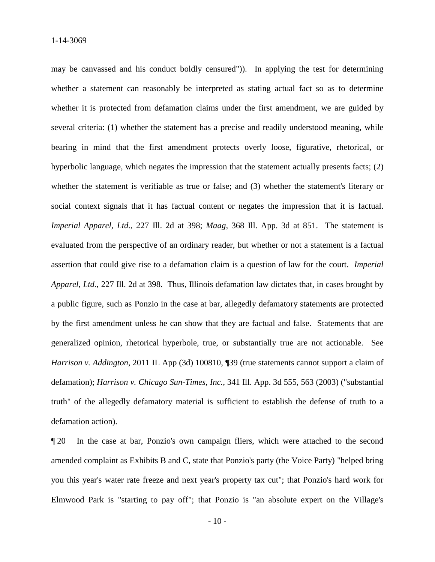may be canvassed and his conduct boldly censured")). In applying the test for determining whether a statement can reasonably be interpreted as stating actual fact so as to determine whether it is protected from defamation claims under the first amendment, we are guided by several criteria: (1) whether the statement has a precise and readily understood meaning, while bearing in mind that the first amendment protects overly loose, figurative, rhetorical, or hyperbolic language, which negates the impression that the statement actually presents facts; (2) whether the statement is verifiable as true or false; and (3) whether the statement's literary or social context signals that it has factual content or negates the impression that it is factual. *Imperial Apparel, Ltd.*, 227 Ill. 2d at 398; *Maag*, 368 Ill. App. 3d at 851. The statement is evaluated from the perspective of an ordinary reader, but whether or not a statement is a factual assertion that could give rise to a defamation claim is a question of law for the court. *Imperial Apparel, Ltd.*, 227 Ill. 2d at 398. Thus, Illinois defamation law dictates that, in cases brought by a public figure, such as Ponzio in the case at bar, allegedly defamatory statements are protected by the first amendment unless he can show that they are factual and false. Statements that are generalized opinion, rhetorical hyperbole, true, or substantially true are not actionable. See *Harrison v. Addington*, 2011 IL App (3d) 100810, ¶39 (true statements cannot support a claim of defamation); *Harrison v. Chicago Sun-Times, Inc.*, 341 Ill. App. 3d 555, 563 (2003) ("substantial truth" of the allegedly defamatory material is sufficient to establish the defense of truth to a defamation action).

¶ 20 In the case at bar, Ponzio's own campaign fliers, which were attached to the second amended complaint as Exhibits B and C, state that Ponzio's party (the Voice Party) "helped bring you this year's water rate freeze and next year's property tax cut"; that Ponzio's hard work for Elmwood Park is "starting to pay off"; that Ponzio is "an absolute expert on the Village's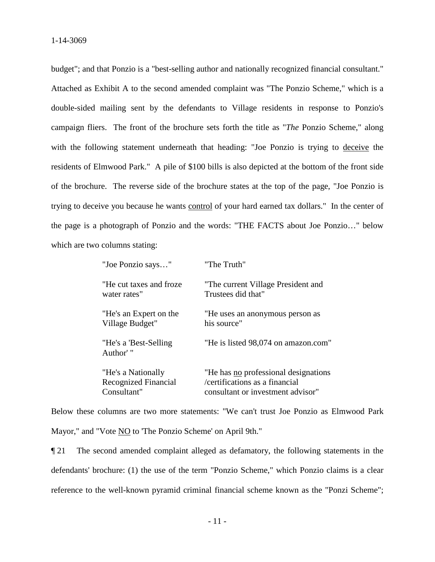budget"; and that Ponzio is a "best-selling author and nationally recognized financial consultant." Attached as Exhibit A to the second amended complaint was "The Ponzio Scheme," which is a double-sided mailing sent by the defendants to Village residents in response to Ponzio's campaign fliers. The front of the brochure sets forth the title as "*The* Ponzio Scheme," along with the following statement underneath that heading: "Joe Ponzio is trying to deceive the residents of Elmwood Park." A pile of \$100 bills is also depicted at the bottom of the front side of the brochure. The reverse side of the brochure states at the top of the page, "Joe Ponzio is trying to deceive you because he wants control of your hard earned tax dollars." In the center of the page is a photograph of Ponzio and the words: "THE FACTS about Joe Ponzio…" below which are two columns stating:

| "Joe Ponzio says"                                         | "The Truth"                                                                                                  |
|-----------------------------------------------------------|--------------------------------------------------------------------------------------------------------------|
| "He cut taxes and froze<br>water rates"                   | "The current Village President and<br>Trustees did that"                                                     |
| "He's an Expert on the<br>Village Budget"                 | "He uses an anonymous person as<br>his source"                                                               |
| "He's a 'Best-Selling<br>Author' "                        | "He is listed 98,074 on amazon.com"                                                                          |
| "He's a Nationally<br>Recognized Financial<br>Consultant" | "He has no professional designations"<br>/certifications as a financial<br>consultant or investment advisor" |

Below these columns are two more statements: "We can't trust Joe Ponzio as Elmwood Park Mayor," and "Vote NO to 'The Ponzio Scheme' on April 9th."

¶ 21 The second amended complaint alleged as defamatory, the following statements in the defendants' brochure: (1) the use of the term "Ponzio Scheme," which Ponzio claims is a clear reference to the well-known pyramid criminal financial scheme known as the "Ponzi Scheme";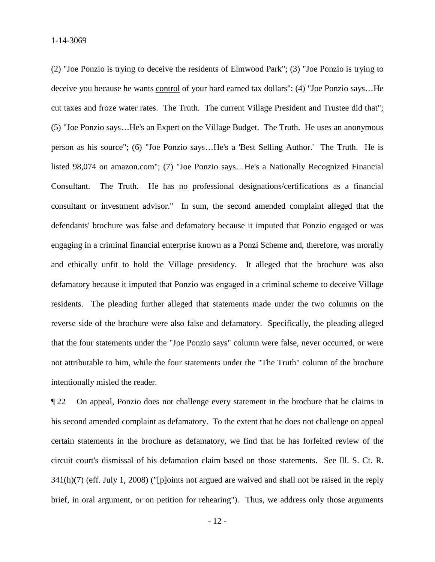(2) "Joe Ponzio is trying to deceive the residents of Elmwood Park"; (3) "Joe Ponzio is trying to deceive you because he wants control of your hard earned tax dollars"; (4) "Joe Ponzio says…He cut taxes and froze water rates. The Truth. The current Village President and Trustee did that"; (5) "Joe Ponzio says…He's an Expert on the Village Budget. The Truth. He uses an anonymous person as his source"; (6) "Joe Ponzio says…He's a 'Best Selling Author.' The Truth. He is listed 98,074 on amazon.com"; (7) "Joe Ponzio says…He's a Nationally Recognized Financial Consultant. The Truth. He has no professional designations/certifications as a financial consultant or investment advisor." In sum, the second amended complaint alleged that the defendants' brochure was false and defamatory because it imputed that Ponzio engaged or was engaging in a criminal financial enterprise known as a Ponzi Scheme and, therefore, was morally and ethically unfit to hold the Village presidency. It alleged that the brochure was also defamatory because it imputed that Ponzio was engaged in a criminal scheme to deceive Village residents. The pleading further alleged that statements made under the two columns on the reverse side of the brochure were also false and defamatory. Specifically, the pleading alleged that the four statements under the "Joe Ponzio says" column were false, never occurred, or were not attributable to him, while the four statements under the "The Truth" column of the brochure intentionally misled the reader.

¶ 22 On appeal, Ponzio does not challenge every statement in the brochure that he claims in his second amended complaint as defamatory. To the extent that he does not challenge on appeal certain statements in the brochure as defamatory, we find that he has forfeited review of the circuit court's dismissal of his defamation claim based on those statements. See Ill. S. Ct. R. 341(h)(7) (eff. July 1, 2008) ("[p]oints not argued are waived and shall not be raised in the reply brief, in oral argument, or on petition for rehearing"). Thus, we address only those arguments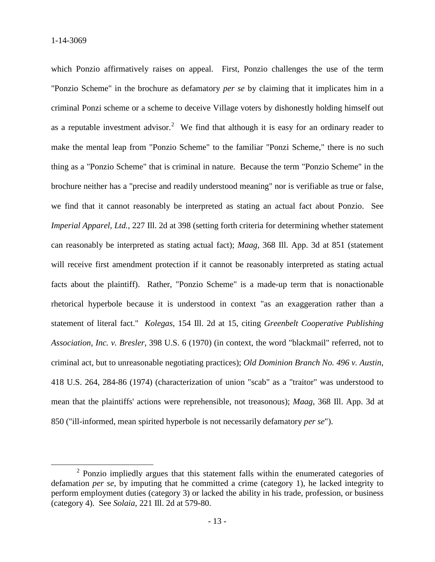which Ponzio affirmatively raises on appeal. First, Ponzio challenges the use of the term "Ponzio Scheme" in the brochure as defamatory *per se* by claiming that it implicates him in a criminal Ponzi scheme or a scheme to deceive Village voters by dishonestly holding himself out as a reputable investment advisor.<sup>2</sup> We find that although it is easy for an ordinary reader to make the mental leap from "Ponzio Scheme" to the familiar "Ponzi Scheme," there is no such thing as a "Ponzio Scheme" that is criminal in nature. Because the term "Ponzio Scheme" in the brochure neither has a "precise and readily understood meaning" nor is verifiable as true or false, we find that it cannot reasonably be interpreted as stating an actual fact about Ponzio. See *Imperial Apparel, Ltd.*, 227 Ill. 2d at 398 (setting forth criteria for determining whether statement can reasonably be interpreted as stating actual fact); *Maag*, 368 Ill. App. 3d at 851 (statement will receive first amendment protection if it cannot be reasonably interpreted as stating actual facts about the plaintiff). Rather, "Ponzio Scheme" is a made-up term that is nonactionable rhetorical hyperbole because it is understood in context "as an exaggeration rather than a statement of literal fact." *Kolegas*, 154 Ill. 2d at 15, citing *Greenbelt Cooperative Publishing Association, Inc. v. Bresler*, 398 U.S. 6 (1970) (in context, the word "blackmail" referred, not to criminal act, but to unreasonable negotiating practices); *Old Dominion Branch No. 496 v. Austin*, 418 U.S. 264, 284-86 (1974) (characterization of union "scab" as a "traitor" was understood to mean that the plaintiffs' actions were reprehensible, not treasonous); *Maag*, 368 Ill. App. 3d at 850 ("ill-informed, mean spirited hyperbole is not necessarily defamatory *per se*").

 $2$  Ponzio impliedly argues that this statement falls within the enumerated categories of defamation *per se*, by imputing that he committed a crime (category 1), he lacked integrity to perform employment duties (category 3) or lacked the ability in his trade, profession, or business (category 4). See *Solaia*, 221 Ill. 2d at 579-80.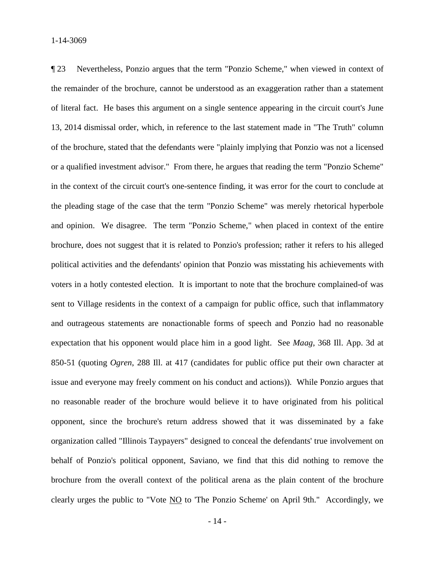¶ 23 Nevertheless, Ponzio argues that the term "Ponzio Scheme," when viewed in context of the remainder of the brochure, cannot be understood as an exaggeration rather than a statement of literal fact. He bases this argument on a single sentence appearing in the circuit court's June 13, 2014 dismissal order, which, in reference to the last statement made in "The Truth" column of the brochure, stated that the defendants were "plainly implying that Ponzio was not a licensed or a qualified investment advisor." From there, he argues that reading the term "Ponzio Scheme" in the context of the circuit court's one-sentence finding, it was error for the court to conclude at the pleading stage of the case that the term "Ponzio Scheme" was merely rhetorical hyperbole and opinion. We disagree. The term "Ponzio Scheme," when placed in context of the entire brochure, does not suggest that it is related to Ponzio's profession; rather it refers to his alleged political activities and the defendants' opinion that Ponzio was misstating his achievements with voters in a hotly contested election. It is important to note that the brochure complained-of was sent to Village residents in the context of a campaign for public office, such that inflammatory and outrageous statements are nonactionable forms of speech and Ponzio had no reasonable expectation that his opponent would place him in a good light. See *Maag*, 368 Ill. App. 3d at 850-51 (quoting *Ogren*, 288 Ill. at 417 (candidates for public office put their own character at issue and everyone may freely comment on his conduct and actions)). While Ponzio argues that no reasonable reader of the brochure would believe it to have originated from his political opponent, since the brochure's return address showed that it was disseminated by a fake organization called "Illinois Taypayers" designed to conceal the defendants' true involvement on behalf of Ponzio's political opponent, Saviano, we find that this did nothing to remove the brochure from the overall context of the political arena as the plain content of the brochure clearly urges the public to "Vote NO to 'The Ponzio Scheme' on April 9th." Accordingly, we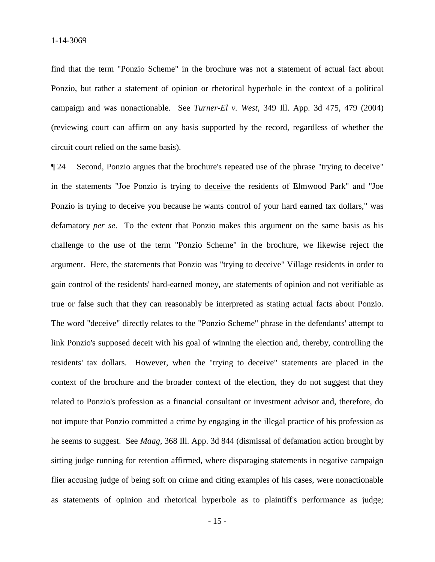find that the term "Ponzio Scheme" in the brochure was not a statement of actual fact about Ponzio, but rather a statement of opinion or rhetorical hyperbole in the context of a political campaign and was nonactionable. See *Turner-El v. West*, 349 Ill. App. 3d 475, 479 (2004) (reviewing court can affirm on any basis supported by the record, regardless of whether the circuit court relied on the same basis).

¶ 24 Second, Ponzio argues that the brochure's repeated use of the phrase "trying to deceive" in the statements "Joe Ponzio is trying to deceive the residents of Elmwood Park" and "Joe Ponzio is trying to deceive you because he wants control of your hard earned tax dollars," was defamatory *per se*. To the extent that Ponzio makes this argument on the same basis as his challenge to the use of the term "Ponzio Scheme" in the brochure, we likewise reject the argument. Here, the statements that Ponzio was "trying to deceive" Village residents in order to gain control of the residents' hard-earned money, are statements of opinion and not verifiable as true or false such that they can reasonably be interpreted as stating actual facts about Ponzio. The word "deceive" directly relates to the "Ponzio Scheme" phrase in the defendants' attempt to link Ponzio's supposed deceit with his goal of winning the election and, thereby, controlling the residents' tax dollars. However, when the "trying to deceive" statements are placed in the context of the brochure and the broader context of the election, they do not suggest that they related to Ponzio's profession as a financial consultant or investment advisor and, therefore, do not impute that Ponzio committed a crime by engaging in the illegal practice of his profession as he seems to suggest. See *Maag*, 368 Ill. App. 3d 844 (dismissal of defamation action brought by sitting judge running for retention affirmed, where disparaging statements in negative campaign flier accusing judge of being soft on crime and citing examples of his cases, were nonactionable as statements of opinion and rhetorical hyperbole as to plaintiff's performance as judge;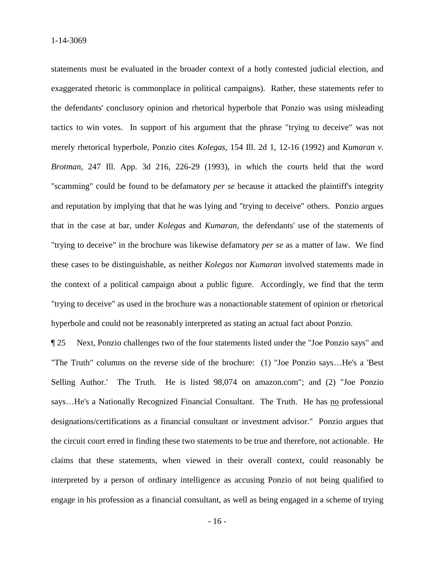statements must be evaluated in the broader context of a hotly contested judicial election, and exaggerated rhetoric is commonplace in political campaigns). Rather, these statements refer to the defendants' conclusory opinion and rhetorical hyperbole that Ponzio was using misleading tactics to win votes. In support of his argument that the phrase "trying to deceive" was not merely rhetorical hyperbole, Ponzio cites *Kolegas*, 154 Ill. 2d 1, 12-16 (1992) and *Kumaran v. Brotman*, 247 Ill. App. 3d 216, 226-29 (1993), in which the courts held that the word "scamming" could be found to be defamatory *per se* because it attacked the plaintiff's integrity and reputation by implying that that he was lying and "trying to deceive" others. Ponzio argues that in the case at bar, under *Kolegas* and *Kumaran*, the defendants' use of the statements of "trying to deceive" in the brochure was likewise defamatory *per se* as a matter of law. We find these cases to be distinguishable, as neither *Kolegas* nor *Kumaran* involved statements made in the context of a political campaign about a public figure. Accordingly, we find that the term "trying to deceive" as used in the brochure was a nonactionable statement of opinion or rhetorical hyperbole and could not be reasonably interpreted as stating an actual fact about Ponzio.

¶ 25 Next, Ponzio challenges two of the four statements listed under the "Joe Ponzio says" and "The Truth" columns on the reverse side of the brochure: (1) "Joe Ponzio says…He's a 'Best Selling Author.' The Truth. He is listed 98,074 on amazon.com"; and (2) "Joe Ponzio says…He's a Nationally Recognized Financial Consultant. The Truth. He has no professional designations/certifications as a financial consultant or investment advisor." Ponzio argues that the circuit court erred in finding these two statements to be true and therefore, not actionable. He claims that these statements, when viewed in their overall context, could reasonably be interpreted by a person of ordinary intelligence as accusing Ponzio of not being qualified to engage in his profession as a financial consultant, as well as being engaged in a scheme of trying

- 16 -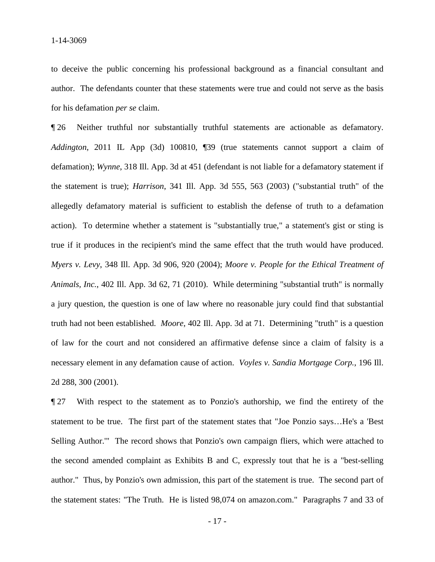to deceive the public concerning his professional background as a financial consultant and author. The defendants counter that these statements were true and could not serve as the basis for his defamation *per se* claim.

¶ 26 Neither truthful nor substantially truthful statements are actionable as defamatory. *Addington*, 2011 IL App (3d) 100810, ¶39 (true statements cannot support a claim of defamation); *Wynne*, 318 Ill. App. 3d at 451 (defendant is not liable for a defamatory statement if the statement is true); *Harrison*, 341 Ill. App. 3d 555, 563 (2003) ("substantial truth" of the allegedly defamatory material is sufficient to establish the defense of truth to a defamation action). To determine whether a statement is "substantially true," a statement's gist or sting is true if it produces in the recipient's mind the same effect that the truth would have produced. *Myers v. Levy*, 348 Ill. App. 3d 906, 920 (2004); *Moore v. People for the Ethical Treatment of Animals, Inc.*, 402 Ill. App. 3d 62, 71 (2010). While determining "substantial truth" is normally a jury question, the question is one of law where no reasonable jury could find that substantial truth had not been established. *Moore*, 402 Ill. App. 3d at 71. Determining "truth" is a question of law for the court and not considered an affirmative defense since a claim of falsity is a necessary element in any defamation cause of action. *Voyles v. Sandia Mortgage Corp.*, 196 Ill. 2d 288, 300 (2001).

¶ 27 With respect to the statement as to Ponzio's authorship, we find the entirety of the statement to be true. The first part of the statement states that "Joe Ponzio says…He's a 'Best Selling Author.'" The record shows that Ponzio's own campaign fliers, which were attached to the second amended complaint as Exhibits B and C, expressly tout that he is a "best-selling author." Thus, by Ponzio's own admission, this part of the statement is true. The second part of the statement states: "The Truth. He is listed 98,074 on amazon.com." Paragraphs 7 and 33 of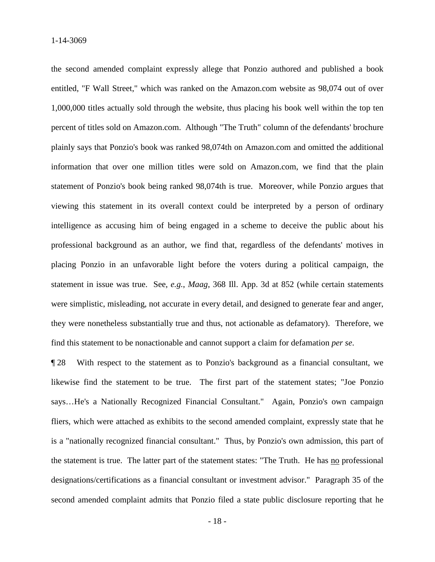the second amended complaint expressly allege that Ponzio authored and published a book entitled, "F Wall Street," which was ranked on the Amazon.com website as 98,074 out of over 1,000,000 titles actually sold through the website, thus placing his book well within the top ten percent of titles sold on Amazon.com. Although "The Truth" column of the defendants' brochure plainly says that Ponzio's book was ranked 98,074th on Amazon.com and omitted the additional information that over one million titles were sold on Amazon.com, we find that the plain statement of Ponzio's book being ranked 98,074th is true. Moreover, while Ponzio argues that viewing this statement in its overall context could be interpreted by a person of ordinary intelligence as accusing him of being engaged in a scheme to deceive the public about his professional background as an author, we find that, regardless of the defendants' motives in placing Ponzio in an unfavorable light before the voters during a political campaign, the statement in issue was true. See, *e.g.*, *Maag*, 368 Ill. App. 3d at 852 (while certain statements were simplistic, misleading, not accurate in every detail, and designed to generate fear and anger, they were nonetheless substantially true and thus, not actionable as defamatory). Therefore, we find this statement to be nonactionable and cannot support a claim for defamation *per se*.

¶ 28 With respect to the statement as to Ponzio's background as a financial consultant, we likewise find the statement to be true. The first part of the statement states; "Joe Ponzio says…He's a Nationally Recognized Financial Consultant." Again, Ponzio's own campaign fliers, which were attached as exhibits to the second amended complaint, expressly state that he is a "nationally recognized financial consultant." Thus, by Ponzio's own admission, this part of the statement is true. The latter part of the statement states: "The Truth. He has no professional designations/certifications as a financial consultant or investment advisor." Paragraph 35 of the second amended complaint admits that Ponzio filed a state public disclosure reporting that he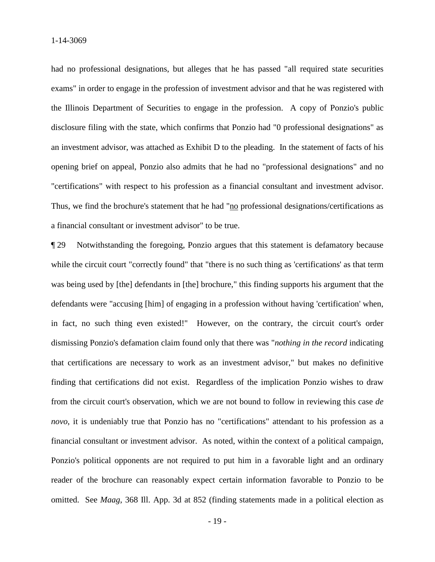had no professional designations, but alleges that he has passed "all required state securities exams" in order to engage in the profession of investment advisor and that he was registered with the Illinois Department of Securities to engage in the profession. A copy of Ponzio's public disclosure filing with the state, which confirms that Ponzio had "0 professional designations" as an investment advisor, was attached as Exhibit D to the pleading. In the statement of facts of his opening brief on appeal, Ponzio also admits that he had no "professional designations" and no "certifications" with respect to his profession as a financial consultant and investment advisor. Thus, we find the brochure's statement that he had "no professional designations/certifications as a financial consultant or investment advisor" to be true.

¶ 29 Notwithstanding the foregoing, Ponzio argues that this statement is defamatory because while the circuit court "correctly found" that "there is no such thing as 'certifications' as that term was being used by [the] defendants in [the] brochure," this finding supports his argument that the defendants were "accusing [him] of engaging in a profession without having 'certification' when, in fact, no such thing even existed!" However, on the contrary, the circuit court's order dismissing Ponzio's defamation claim found only that there was "*nothing in the record* indicating that certifications are necessary to work as an investment advisor," but makes no definitive finding that certifications did not exist. Regardless of the implication Ponzio wishes to draw from the circuit court's observation, which we are not bound to follow in reviewing this case *de novo*, it is undeniably true that Ponzio has no "certifications" attendant to his profession as a financial consultant or investment advisor. As noted, within the context of a political campaign, Ponzio's political opponents are not required to put him in a favorable light and an ordinary reader of the brochure can reasonably expect certain information favorable to Ponzio to be omitted. See *Maag*, 368 Ill. App. 3d at 852 (finding statements made in a political election as

- 19 -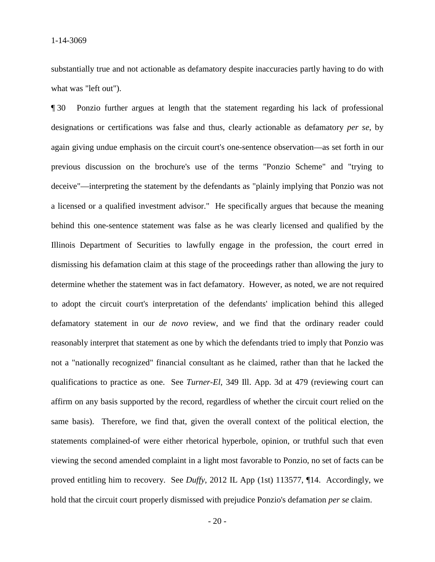substantially true and not actionable as defamatory despite inaccuracies partly having to do with what was "left out").

¶ 30 Ponzio further argues at length that the statement regarding his lack of professional designations or certifications was false and thus, clearly actionable as defamatory *per se*, by again giving undue emphasis on the circuit court's one-sentence observation—as set forth in our previous discussion on the brochure's use of the terms "Ponzio Scheme" and "trying to deceive"—interpreting the statement by the defendants as "plainly implying that Ponzio was not a licensed or a qualified investment advisor." He specifically argues that because the meaning behind this one-sentence statement was false as he was clearly licensed and qualified by the Illinois Department of Securities to lawfully engage in the profession, the court erred in dismissing his defamation claim at this stage of the proceedings rather than allowing the jury to determine whether the statement was in fact defamatory. However, as noted, we are not required to adopt the circuit court's interpretation of the defendants' implication behind this alleged defamatory statement in our *de novo* review, and we find that the ordinary reader could reasonably interpret that statement as one by which the defendants tried to imply that Ponzio was not a "nationally recognized" financial consultant as he claimed, rather than that he lacked the qualifications to practice as one. See *Turner-El*, 349 Ill. App. 3d at 479 (reviewing court can affirm on any basis supported by the record, regardless of whether the circuit court relied on the same basis). Therefore, we find that, given the overall context of the political election, the statements complained-of were either rhetorical hyperbole, opinion, or truthful such that even viewing the second amended complaint in a light most favorable to Ponzio, no set of facts can be proved entitling him to recovery. See *Duffy*, 2012 IL App (1st) 113577, ¶14. Accordingly, we hold that the circuit court properly dismissed with prejudice Ponzio's defamation *per se* claim.

- 20 -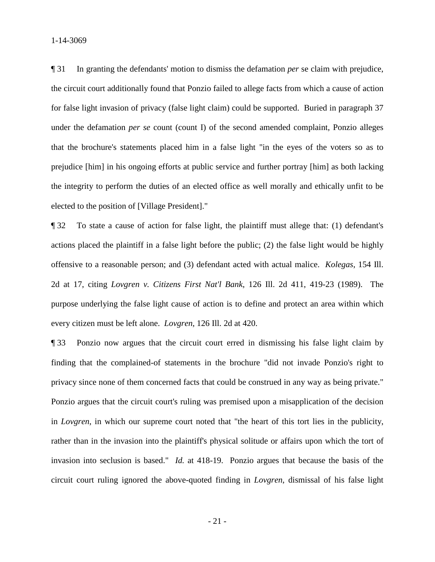1-14-3069

¶ 31 In granting the defendants' motion to dismiss the defamation *per* se claim with prejudice, the circuit court additionally found that Ponzio failed to allege facts from which a cause of action for false light invasion of privacy (false light claim) could be supported. Buried in paragraph 37 under the defamation *per se* count (count I) of the second amended complaint, Ponzio alleges that the brochure's statements placed him in a false light "in the eyes of the voters so as to prejudice [him] in his ongoing efforts at public service and further portray [him] as both lacking the integrity to perform the duties of an elected office as well morally and ethically unfit to be elected to the position of [Village President]."

¶ 32 To state a cause of action for false light, the plaintiff must allege that: (1) defendant's actions placed the plaintiff in a false light before the public; (2) the false light would be highly offensive to a reasonable person; and (3) defendant acted with actual malice. *Kolegas*, 154 Ill. 2d at 17, citing *Lovgren v. Citizens First Nat'l Bank*, 126 Ill. 2d 411, 419-23 (1989). The purpose underlying the false light cause of action is to define and protect an area within which every citizen must be left alone. *Lovgren*, 126 Ill. 2d at 420.

¶ 33 Ponzio now argues that the circuit court erred in dismissing his false light claim by finding that the complained-of statements in the brochure "did not invade Ponzio's right to privacy since none of them concerned facts that could be construed in any way as being private." Ponzio argues that the circuit court's ruling was premised upon a misapplication of the decision in *Lovgren*, in which our supreme court noted that "the heart of this tort lies in the publicity, rather than in the invasion into the plaintiff's physical solitude or affairs upon which the tort of invasion into seclusion is based." *Id.* at 418-19. Ponzio argues that because the basis of the circuit court ruling ignored the above-quoted finding in *Lovgren*, dismissal of his false light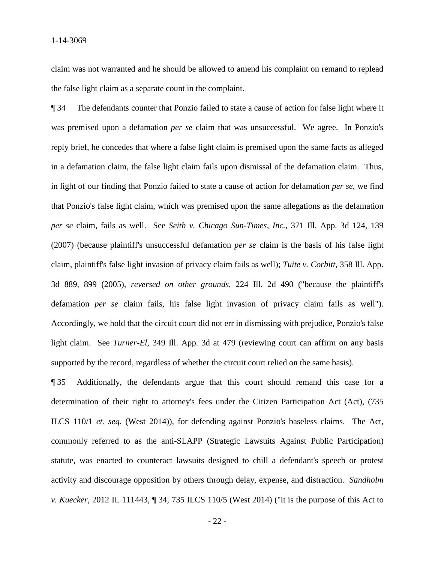claim was not warranted and he should be allowed to amend his complaint on remand to replead the false light claim as a separate count in the complaint.

¶ 34 The defendants counter that Ponzio failed to state a cause of action for false light where it was premised upon a defamation *per se* claim that was unsuccessful. We agree. In Ponzio's reply brief, he concedes that where a false light claim is premised upon the same facts as alleged in a defamation claim, the false light claim fails upon dismissal of the defamation claim. Thus, in light of our finding that Ponzio failed to state a cause of action for defamation *per se*, we find that Ponzio's false light claim, which was premised upon the same allegations as the defamation *per se* claim, fails as well. See *Seith v. Chicago Sun-Times, Inc.*, 371 Ill. App. 3d 124, 139 (2007) (because plaintiff's unsuccessful defamation *per se* claim is the basis of his false light claim, plaintiff's false light invasion of privacy claim fails as well); *Tuite v. Corbitt*, 358 Ill. App. 3d 889, 899 (2005), *reversed on other grounds*, 224 Ill. 2d 490 ("because the plaintiff's defamation *per se* claim fails, his false light invasion of privacy claim fails as well"). Accordingly, we hold that the circuit court did not err in dismissing with prejudice, Ponzio's false light claim. See *Turner-El*, 349 Ill. App. 3d at 479 (reviewing court can affirm on any basis supported by the record, regardless of whether the circuit court relied on the same basis).

¶ 35 Additionally, the defendants argue that this court should remand this case for a determination of their right to attorney's fees under the Citizen Participation Act (Act), (735 ILCS 110/1 *et. seq.* (West 2014)), for defending against Ponzio's baseless claims. The Act, commonly referred to as the anti-SLAPP (Strategic Lawsuits Against Public Participation) statute, was enacted to counteract lawsuits designed to chill a defendant's speech or protest activity and discourage opposition by others through delay, expense, and distraction. *Sandholm v. Kuecker*, 2012 IL 111443, ¶ 34; 735 ILCS 110/5 (West 2014) ("it is the purpose of this Act to

- 22 -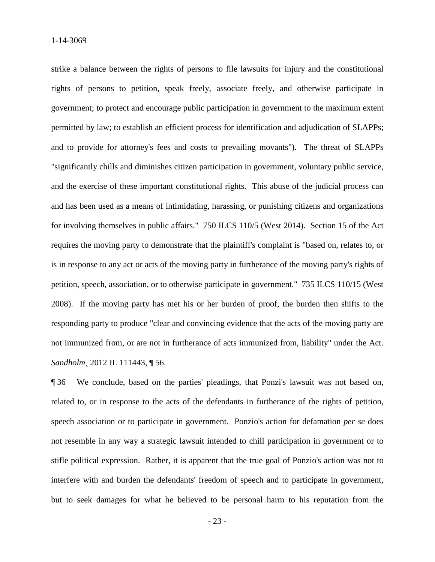strike a balance between the rights of persons to file lawsuits for injury and the constitutional rights of persons to petition, speak freely, associate freely, and otherwise participate in government; to protect and encourage public participation in government to the maximum extent permitted by law; to establish an efficient process for identification and adjudication of SLAPPs; and to provide for attorney's fees and costs to prevailing movants"). The threat of SLAPPs "significantly chills and diminishes citizen participation in government, voluntary public service, and the exercise of these important constitutional rights. This abuse of the judicial process can and has been used as a means of intimidating, harassing, or punishing citizens and organizations for involving themselves in public affairs." 750 ILCS 110/5 (West 2014). Section 15 of the Act requires the moving party to demonstrate that the plaintiff's complaint is "based on, relates to, or is in response to any act or acts of the moving party in furtherance of the moving party's rights of petition, speech, association, or to otherwise participate in government." 735 ILCS 110/15 (West 2008). If the moving party has met his or her burden of proof, the burden then shifts to the responding party to produce "clear and convincing evidence that the acts of the moving party are not immunized from, or are not in furtherance of acts immunized from, liability" under the Act. *Sandholm*¸ 2012 IL 111443, ¶ 56.

¶ 36 We conclude, based on the parties' pleadings, that Ponzi's lawsuit was not based on, related to, or in response to the acts of the defendants in furtherance of the rights of petition, speech association or to participate in government. Ponzio's action for defamation *per se* does not resemble in any way a strategic lawsuit intended to chill participation in government or to stifle political expression. Rather, it is apparent that the true goal of Ponzio's action was not to interfere with and burden the defendants' freedom of speech and to participate in government, but to seek damages for what he believed to be personal harm to his reputation from the